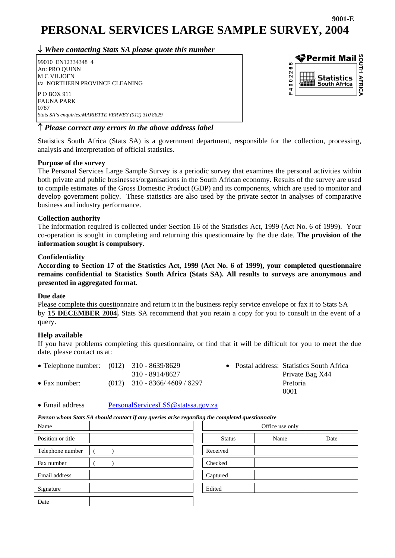### **9001-E PERSONAL SERVICES LARGE SAMPLE SURVEY, 2004**

↓ *When contacting Stats SA please quote this number*

 99010 EN12334348 4 Att: PRO QUINN M C VILJOEN t/a NORTHERN PROVINCE CLEANING P O BOX 911 FAUNA PARK 0787 *Stats SA's enquiries:MARIETTE VERWEY (012) 310 8629* 



#### ↑ *Please correct any errors in the above address label*

Statistics South Africa (Stats SA) is a government department, responsible for the collection, processing, analysis and interpretation of official statistics.

#### **Purpose of the survey**

The Personal Services Large Sample Survey is a periodic survey that examines the personal activities within both private and public businesses/organisations in the South African economy. Results of the survey are used to compile estimates of the Gross Domestic Product (GDP) and its components, which are used to monitor and develop government policy. These statistics are also used by the private sector in analyses of comparative business and industry performance.

#### **Collection authority**

The information required is collected under Section 16 of the Statistics Act, 1999 (Act No. 6 of 1999). Your co-operation is sought in completing and returning this questionnaire by the due date. **The provision of the information sought is compulsory.** 

#### **Confidentiality**

**According to Section 17 of the Statistics Act, 1999 (Act No. 6 of 1999), your completed questionnaire remains confidential to Statistics South Africa (Stats SA). All results to surveys are anonymous and presented in aggregated format.** 

#### **Due date**

Please complete this questionnaire and return it in the business reply service envelope or fax it to Stats SA by **15 DECEMBER 2004.** Stats SA recommend that you retain a copy for you to consult in the event of a query.

#### **Help available**

If you have problems completing this questionnaire, or find that it will be difficult for you to meet the due date, please contact us at:

- Telephone number: (012) 310 8639/8629 Postal address: Statistics South Africa 310 - 8914/8627 Private Bag X44 • Fax number: (012) 310 - 8366/4609 / 8297 Pretoria 0001
- Email address [PersonalServicesLSS@statssa.gov.za](mailto:PersonalServicesLSS@statssa.gov.za)

#### *Person whom Stats SA should contact if any queries arise regarding the completed questionnaire*

| Name              | Office use only |      |      |
|-------------------|-----------------|------|------|
| Position or title | <b>Status</b>   | Name | Date |
| Telephone number  | Received        |      |      |
| Fax number        | Checked         |      |      |
| Email address     | Captured        |      |      |
| Signature         | Edited          |      |      |
| Date              |                 |      |      |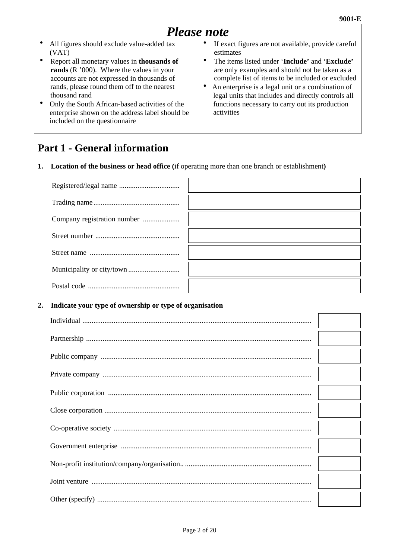# *Please note*

- All figures should exclude value-added tax (VAT)
- Report all monetary values in **thousands** of **rands** (R '000). Where the values in your accounts are not expressed in thousands of rands, please round them off to the nearest thousand rand
- Only the South African-based activities of the enterprise shown on the address label should be included on the questionnaire
- If exact figures are not available, provide careful estimates
- The items listed under '**Include'** and '**Exclude'** are only examples and should not be taken as a complete list of items to be included or excluded
- An enterprise is a legal unit or a combination of legal units that includes and directly controls all functions necessary to carry out its production activities

# **Part 1 - General information**

**1. Location of the business or head office (**if operating more than one branch or establishment**)** 

# **2 . Indicate your type of ownership or type of organisation**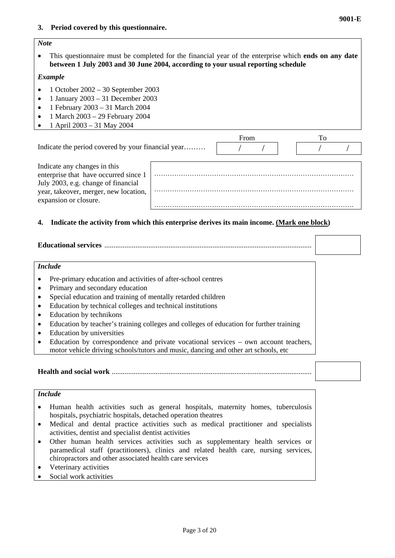#### *Note*

• This questionnaire must be completed for the financial year of the enterprise which **ends on any date between 1 July 2003 and 30 June 2004, according to your usual reporting schedule**

#### *Example*

- 1 October 2002 30 September 2003
- 1 January 2003 31 December 2003
- 1 February 2003 31 March 2004
- $\bullet$  1 March 2003 29 February 2004
- 1 April 2003 31 May 2004

|                                                                                                                                                                                |  | From |  |  |
|--------------------------------------------------------------------------------------------------------------------------------------------------------------------------------|--|------|--|--|
| Indicate the period covered by your financial year                                                                                                                             |  |      |  |  |
| Indicate any changes in this<br>enterprise that have occurred since 1<br>July 2003, e.g. change of financial<br>year, takeover, merger, new location,<br>expansion or closure. |  |      |  |  |

#### **4. Indicate the activity from which this enterprise derives its main income. (Mark one block)**

#### **Educational services** .................................................................................................................

#### *Include*

- Pre-primary education and activities of after-school centres
- Primary and secondary education
- Special education and training of mentally retarded children
- Education by technical colleges and technical institutions
- Education by technikons
- Education by teacher's training colleges and colleges of education for further training
- Education by universities
- Education by correspondence and private vocational services own account teachers, motor vehicle driving schools/tutors and music, dancing and other art schools, etc

**Health and social work** .............................................................................................................

#### *Include*

- Human health activities such as general hospitals, maternity homes, tuberculosis hospitals, psychiatric hospitals, detached operation theatres
- Medical and dental practice activities such as medical practitioner and specialists activities, dentist and specialist dentist activities
- Other human health services activities such as supplementary health services or paramedical staff (practitioners), clinics and related health care, nursing services, chiropractors and other associated health care services
- Veterinary activities
- Social work activities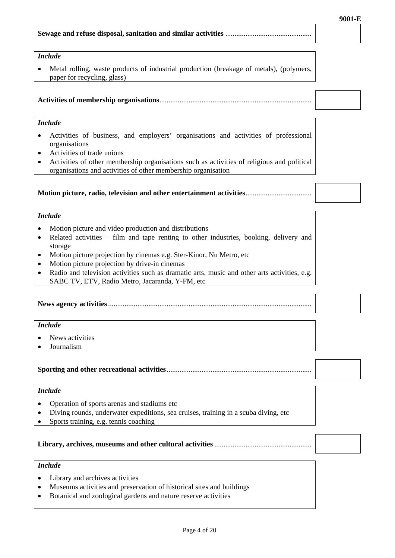#### **Sewage and refuse disposal, sanitation and similar activities** ...............................................

#### *Include*

• Metal rolling, waste products of industrial production (breakage of metals), (polymers, paper for recycling, glass)

#### **Activities of membership organisations**...................................................................................

#### *Include*

- Activities of business, and employers' organisations and activities of professional organisations
- Activities of trade unions
- Activities of other membership organisations such as activities of religious and political organisations and activities of other membership organisation

#### **Motion picture, radio, television and other entertainment activities**....................................

#### *Include*

- Motion picture and video production and distributions
- Related activities film and tape renting to other industries, booking, delivery and storage
- Motion picture projection by cinemas e.g. Ster-Kinor, Nu Metro, etc
- Motion picture projection by drive-in cinemas
- Radio and television activities such as dramatic arts, music and other arts activities, e.g. SABC TV, ETV, Radio Metro, Jacaranda, Y-FM, etc

**News agency activities**...............................................................................................................

#### *Include*

- News activities
- Journalism

#### **Sporting and other recreational activities**...............................................................................

#### *Include*

- Operation of sports arenas and stadiums etc
- Diving rounds, underwater expeditions, sea cruises, training in a scuba diving, etc
- Sports training, e.g. tennis coaching

#### **Library, archives, museums and other cultural activities** .....................................................

#### *Include*

- Library and archives activities
- Museums activities and preservation of historical sites and buildings
- Botanical and zoological gardens and nature reserve activities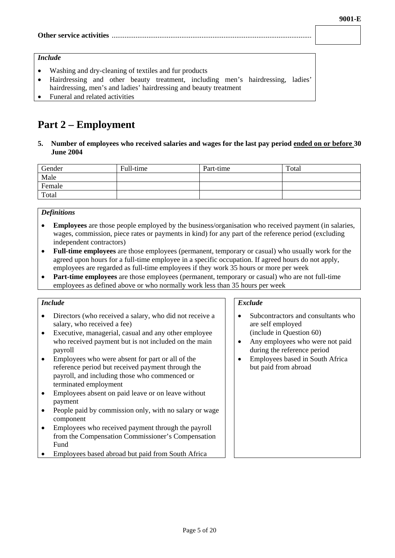#### **Other service activities** .............................................................................................................

#### *Include*

- Washing and dry-cleaning of textiles and fur products
- Hairdressing and other beauty treatment, including men's hairdressing, ladies' hairdressing, men's and ladies' hairdressing and beauty treatment
- Funeral and related activities

# **Part 2 – Employment**

**5. Number of employees who received salaries and wages for the last pay period ended on or before 30 June 2004** 

| Gender | Full-time | Part-time | Total |
|--------|-----------|-----------|-------|
| Male   |           |           |       |
| Female |           |           |       |
| Total  |           |           |       |

#### *Definitions*

- **Employees** are those people employed by the business/organisation who received payment (in salaries, wages, commission, piece rates or payments in kind) for any part of the reference period (excluding independent contractors)
- **Full-time employees** are those employees (permanent, temporary or casual) who usually work for the agreed upon hours for a full-time employee in a specific occupation. If agreed hours do not apply, employees are regarded as full-time employees if they work 35 hours or more per week
- **Part-time employees** are those employees (permanent, temporary or casual) who are not full-time employees as defined above or who normally work less than 35 hours per week

#### *Include*

- Directors (who received a salary, who did not receive a salary, who received a fee)
- Executive, managerial, casual and any other employee who received payment but is not included on the main payroll
- Employees who were absent for part or all of the reference period but received payment through the payroll, and including those who commenced or terminated employment
- Employees absent on paid leave or on leave without payment
- People paid by commission only, with no salary or wage component
- Employees who received payment through the payroll from the Compensation Commissioner's Compensation Fund
- Employees based abroad but paid from South Africa

#### *Exclude*

- Subcontractors and consultants who are self employed (include in Question 60)
- Any employees who were not paid during the reference period
- Employees based in South Africa but paid from abroad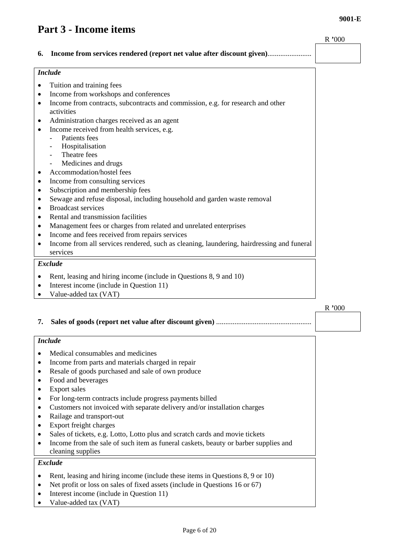#### **9001-E**

# **Part 3 - Income items**

|           |                                                                                                                     | R'000 |
|-----------|---------------------------------------------------------------------------------------------------------------------|-------|
| 6.        | Income from services rendered (report net value after discount given)                                               |       |
|           |                                                                                                                     |       |
|           | <b>Include</b>                                                                                                      |       |
| ٠         | Tuition and training fees                                                                                           |       |
|           | Income from workshops and conferences                                                                               |       |
|           | Income from contracts, subcontracts and commission, e.g. for research and other                                     |       |
|           | activities                                                                                                          |       |
|           | Administration charges received as an agent                                                                         |       |
|           | Income received from health services, e.g.                                                                          |       |
|           | Patients fees                                                                                                       |       |
|           | Hospitalisation                                                                                                     |       |
|           | Theatre fees                                                                                                        |       |
|           | Medicines and drugs                                                                                                 |       |
|           | Accommodation/hostel fees                                                                                           |       |
|           | Income from consulting services                                                                                     |       |
| ٠         | Subscription and membership fees                                                                                    |       |
| ٠         | Sewage and refuse disposal, including household and garden waste removal<br><b>Broadcast services</b>               |       |
| $\bullet$ | Rental and transmission facilities                                                                                  |       |
|           |                                                                                                                     |       |
|           | Management fees or charges from related and unrelated enterprises<br>Income and fees received from repairs services |       |
|           | Income from all services rendered, such as cleaning, laundering, hairdressing and funeral                           |       |
|           | services                                                                                                            |       |
|           | <b>Exclude</b>                                                                                                      |       |
|           |                                                                                                                     |       |
| ٠         | Rent, leasing and hiring income (include in Questions 8, 9 and 10)                                                  |       |
|           | Interest income (include in Question 11)<br>Value-added tax (VAT)                                                   |       |
| ٠         |                                                                                                                     |       |
|           |                                                                                                                     | R'000 |
| 7.        |                                                                                                                     |       |
|           | <b>Include</b>                                                                                                      |       |
|           | Medical consumables and medicines                                                                                   |       |
| $\bullet$ | Income from parts and materials charged in repair                                                                   |       |
| ٠         | Resale of goods purchased and sale of own produce                                                                   |       |
|           | Food and beverages                                                                                                  |       |
| ٠         | <b>Export sales</b>                                                                                                 |       |
| $\bullet$ | For long-term contracts include progress payments billed                                                            |       |
| ٠         | Customers not invoiced with separate delivery and/or installation charges                                           |       |
|           | Railage and transport-out                                                                                           |       |
|           | Export freight charges                                                                                              |       |
|           | Sales of tickets, e.g. Lotto, Lotto plus and scratch cards and movie tickets                                        |       |
|           | Income from the sale of such item as funeral caskets, beauty or barber supplies and                                 |       |
|           | cleaning supplies                                                                                                   |       |
|           | <b>Exclude</b>                                                                                                      |       |
|           | Rent, leasing and hiring income (include these items in Questions 8, 9 or 10)                                       |       |
|           | Net profit or loss on sales of fixed assets (include in Questions 16 or 67)                                         |       |
|           | Interest income (include in Question 11)                                                                            |       |
|           |                                                                                                                     |       |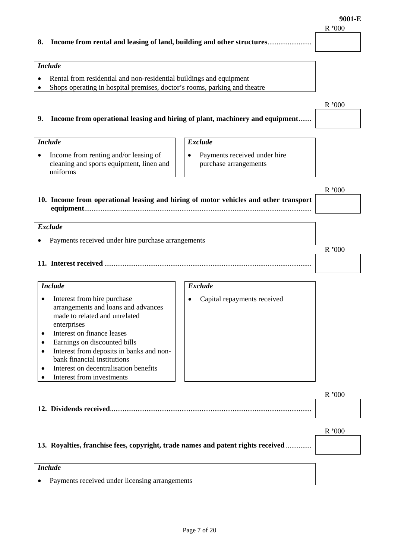#### **8. Income from rental and leasing of land, building and other structures**........................

#### *Include*

*Include*

- Rental from residential and non-residential buildings and equipment
- Shops operating in hospital premises, doctor's rooms, parking and theatre

#### **9. Income from operational leasing and hiring of plant, machinery and equipment**.......

### • Income from renting and/or leasing of cleaning and sports equipment, linen and uniforms • Payments received under hire purchase arrangements R **'**000 **10. Income from operational leasing and hiring of motor vehicles and other transport equipment**............................................................................................................................ *Exclude* Payments received under hire purchase arrangements R **'**000

*Exclude*

**11. Interest received** .................................................................................................................

#### *Include*  • Interest from hire purchase arrangements and loans and advances made to related and unrelated enterprises • Interest on finance leases • Earnings on discounted bills • Interest from deposits in banks and nonbank financial institutions • Interest on decentralisation benefits • Interest from investments *Exclude* • Capital repayments received

|--|--|

|                                                                                  | R'000 |
|----------------------------------------------------------------------------------|-------|
| 13. Royalties, franchise fees, copyright, trade names and patent rights received |       |
| <b>Include</b>                                                                   |       |
| Payments received under licensing arrangements                                   |       |

R **'**000

R **'**000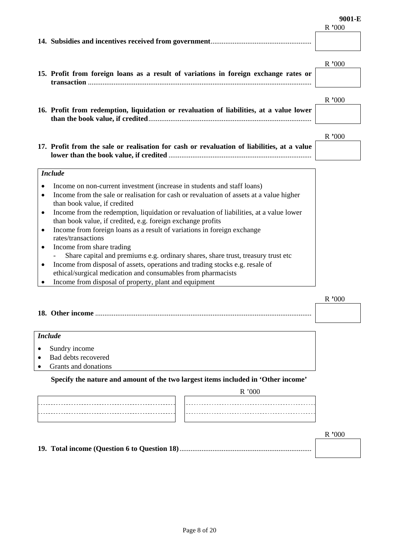| R'000 |  |
|-------|--|
|       |  |
|       |  |

|                                                                                                            | 15. Profit from foreign loans as a result of variations in foreign exchange rates or                                                                                                                                                                                                                                                                                                                                                                                                                                                                                                                                                                                                                                                                              | R'000  |
|------------------------------------------------------------------------------------------------------------|-------------------------------------------------------------------------------------------------------------------------------------------------------------------------------------------------------------------------------------------------------------------------------------------------------------------------------------------------------------------------------------------------------------------------------------------------------------------------------------------------------------------------------------------------------------------------------------------------------------------------------------------------------------------------------------------------------------------------------------------------------------------|--------|
|                                                                                                            | 16. Profit from redemption, liquidation or revaluation of liabilities, at a value lower                                                                                                                                                                                                                                                                                                                                                                                                                                                                                                                                                                                                                                                                           | R'000  |
|                                                                                                            | 17. Profit from the sale or realisation for cash or revaluation of liabilities, at a value                                                                                                                                                                                                                                                                                                                                                                                                                                                                                                                                                                                                                                                                        | R '000 |
| <b>Include</b><br>$\bullet$<br>$\bullet$<br>$\bullet$<br>$\bullet$<br>rates/transactions<br>$\bullet$<br>٠ | Income on non-current investment (increase in students and staff loans)<br>Income from the sale or realisation for cash or revaluation of assets at a value higher<br>than book value, if credited<br>Income from the redemption, liquidation or revaluation of liabilities, at a value lower<br>than book value, if credited, e.g. foreign exchange profits<br>Income from foreign loans as a result of variations in foreign exchange<br>Income from share trading<br>Share capital and premiums e.g. ordinary shares, share trust, treasury trust etc<br>Income from disposal of assets, operations and trading stocks e.g. resale of<br>ethical/surgical medication and consumables from pharmacists<br>Income from disposal of property, plant and equipment |        |
|                                                                                                            |                                                                                                                                                                                                                                                                                                                                                                                                                                                                                                                                                                                                                                                                                                                                                                   | R'000  |
| <b>Include</b><br>Sundry income                                                                            | Bad debts recovered<br>Grants and donations<br>Specify the nature and amount of the two largest items included in 'Other income'<br>R'000                                                                                                                                                                                                                                                                                                                                                                                                                                                                                                                                                                                                                         |        |

R **'**000

**19. Total income (Question 6 to Question 18)**........................................................................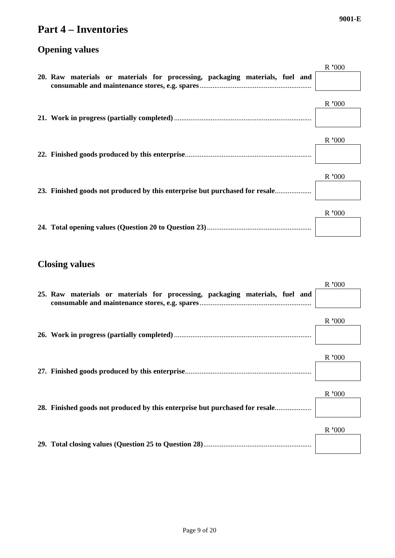### **Part 4 – Inventories**

**Opening values** 

# R **'**000 **20. Raw materials or materials for processing, packaging materials, fuel and consumable and maintenance stores, e.g. spares**............................................................. R **'**000 **21. Work in progress (partially completed)**........................................................................... R **'**000 **22. Finished goods produced by this enterprise**..................................................................... R **'**000 **23. Finished goods not produced by this enterprise but purchased for resale**.................... R **'**000 **24. Total opening values (Question 20 to Question 23)**.........................................................

#### **Closing values**

| 25. Raw materials or materials for processing, packaging materials, fuel and | R'000 |
|------------------------------------------------------------------------------|-------|
|                                                                              | R'000 |
|                                                                              | R'000 |
| 28. Finished goods not produced by this enterprise but purchased for resale  | R'000 |
|                                                                              | R'000 |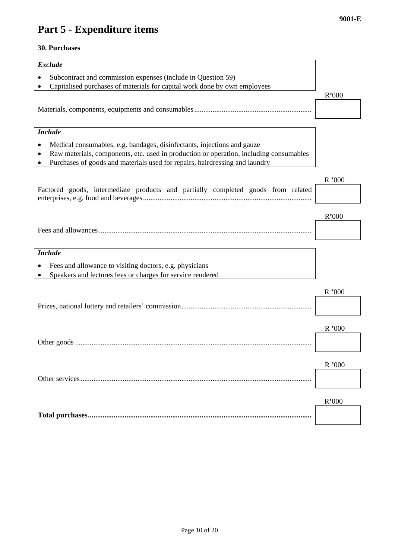# **Part 5 - Expenditure items**

#### **30. Purchases**

| <b>Exclude</b>                                                                                                                                                        |          |  |
|-----------------------------------------------------------------------------------------------------------------------------------------------------------------------|----------|--|
| Subcontract and commission expenses (include in Question 59)                                                                                                          |          |  |
| Capitalised purchases of materials for capital work done by own employees                                                                                             |          |  |
|                                                                                                                                                                       | R'000    |  |
|                                                                                                                                                                       |          |  |
|                                                                                                                                                                       |          |  |
| <b>Include</b>                                                                                                                                                        |          |  |
| Medical consumables, e.g. bandages, disinfectants, injections and gauze                                                                                               |          |  |
| Raw materials, components, etc. used in production or operation, including consumables<br>Purchases of goods and materials used for repairs, hairdressing and laundry |          |  |
|                                                                                                                                                                       |          |  |
|                                                                                                                                                                       | R'000    |  |
| Factored goods, intermediate products and partially completed goods from related                                                                                      |          |  |
|                                                                                                                                                                       |          |  |
|                                                                                                                                                                       | R'000    |  |
|                                                                                                                                                                       |          |  |
|                                                                                                                                                                       |          |  |
| <b>Include</b>                                                                                                                                                        |          |  |
| Fees and allowance to visiting doctors, e.g. physicians                                                                                                               |          |  |
| Speakers and lectures fees or charges for service rendered                                                                                                            |          |  |
|                                                                                                                                                                       | R '000   |  |
|                                                                                                                                                                       |          |  |
|                                                                                                                                                                       |          |  |
|                                                                                                                                                                       | $R$ '000 |  |
|                                                                                                                                                                       |          |  |
|                                                                                                                                                                       |          |  |
|                                                                                                                                                                       | R'000    |  |
|                                                                                                                                                                       |          |  |
|                                                                                                                                                                       |          |  |
|                                                                                                                                                                       | R'000    |  |
|                                                                                                                                                                       |          |  |
|                                                                                                                                                                       |          |  |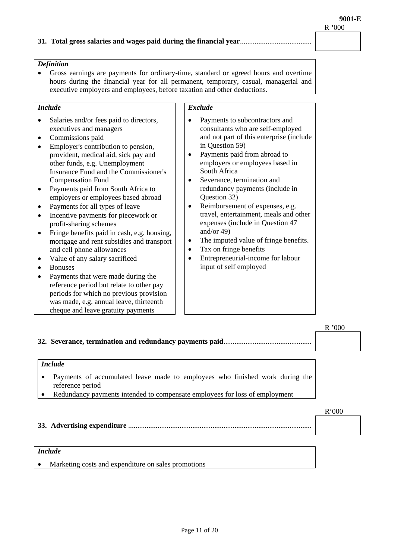#### **31. Total gross salaries and wages paid during the financial year**.......................................

#### *Definition*

• Gross earnings are payments for ordinary-time, standard or agreed hours and overtime hours during the financial year for all permanent, temporary, casual, managerial and executive employers and employees, before taxation and other deductions.

#### *Include*

- Salaries and/or fees paid to directors, executives and managers
- Commissions paid
- Employer's contribution to pension, provident, medical aid, sick pay and other funds, e.g. Unemployment Insurance Fund and the Commissioner's Compensation Fund
- Payments paid from South Africa to employers or employees based abroad
- Payments for all types of leave
- Incentive payments for piecework or profit-sharing schemes
- Fringe benefits paid in cash, e.g. housing. mortgage and rent subsidies and transport and cell phone allowances
- Value of any salary sacrificed
- Bonuses
- Payments that were made during the reference period but relate to other pay periods for which no previous provision was made, e.g. annual leave, thirteenth cheque and leave gratuity payments

#### *Exclude*

- Payments to subcontractors and consultants who are self-employed and not part of this enterprise (include in Question 59)
- Payments paid from abroad to employers or employees based in South Africa
- Severance, termination and redundancy payments (include in Question 32)
- Reimbursement of expenses, e.g. travel, entertainment, meals and other expenses (include in Question 47 and/or 49)
- The imputed value of fringe benefits.
- Tax on fringe benefits
- Entrepreneurial-income for labour input of self employed

|                                                                                                                                                                                              | R'000 |
|----------------------------------------------------------------------------------------------------------------------------------------------------------------------------------------------|-------|
|                                                                                                                                                                                              |       |
| <b>Include</b>                                                                                                                                                                               |       |
| Payments of accumulated leave made to employees who finished work during the<br>$\bullet$<br>reference period<br>Redundancy payments intended to compensate employees for loss of employment |       |
|                                                                                                                                                                                              | R'000 |
|                                                                                                                                                                                              |       |
| <i>Include</i>                                                                                                                                                                               |       |

• Marketing costs and expenditure on sales promotions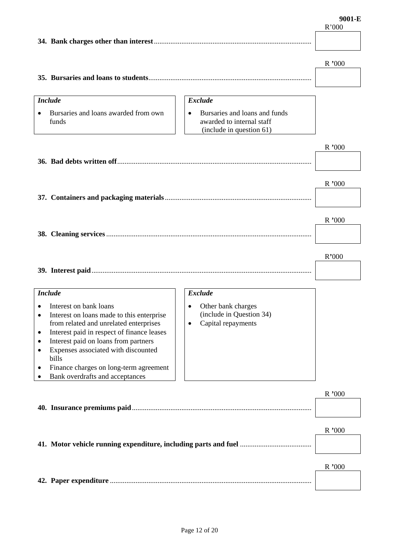|           |                                            |                                            | R'000  |
|-----------|--------------------------------------------|--------------------------------------------|--------|
|           |                                            |                                            |        |
|           |                                            |                                            |        |
|           |                                            |                                            |        |
|           |                                            |                                            | R'000  |
|           |                                            |                                            |        |
|           |                                            |                                            |        |
|           |                                            |                                            |        |
|           | <b>Include</b>                             | <b>Exclude</b>                             |        |
|           |                                            |                                            |        |
|           | Bursaries and loans awarded from own       | Bursaries and loans and funds<br>$\bullet$ |        |
|           | funds                                      | awarded to internal staff                  |        |
|           |                                            | (include in question 61)                   |        |
|           |                                            |                                            |        |
|           |                                            |                                            | R '000 |
|           |                                            |                                            |        |
|           |                                            |                                            |        |
|           |                                            |                                            |        |
|           |                                            |                                            | R '000 |
|           |                                            |                                            |        |
|           |                                            |                                            |        |
|           |                                            |                                            |        |
|           |                                            |                                            | R'000  |
|           |                                            |                                            |        |
|           |                                            |                                            |        |
|           |                                            |                                            |        |
|           |                                            |                                            |        |
|           |                                            |                                            | R'000  |
|           |                                            |                                            |        |
|           |                                            |                                            |        |
|           |                                            |                                            |        |
|           | <b>Include</b>                             | <b>Exclude</b>                             |        |
| ٠         | Interest on bank loans                     | Other bank charges<br>$\bullet$            |        |
| $\bullet$ | Interest on loans made to this enterprise  | (include in Question 34)                   |        |
|           | from related and unrelated enterprises     | Capital repayments                         |        |
| $\bullet$ | Interest paid in respect of finance leases |                                            |        |
| ٠         | Interest paid on loans from partners       |                                            |        |
| $\bullet$ | Expenses associated with discounted        |                                            |        |
|           | bills                                      |                                            |        |
| ٠         | Finance charges on long-term agreement     |                                            |        |
|           | Bank overdrafts and acceptances            |                                            |        |
|           |                                            |                                            |        |
|           |                                            |                                            | R '000 |
|           |                                            |                                            |        |
|           |                                            |                                            |        |
|           |                                            |                                            |        |
|           |                                            |                                            | R'000  |
|           |                                            |                                            |        |
|           |                                            |                                            |        |
|           |                                            |                                            |        |
|           |                                            |                                            | R '000 |
|           |                                            |                                            |        |
|           |                                            |                                            |        |
|           |                                            |                                            |        |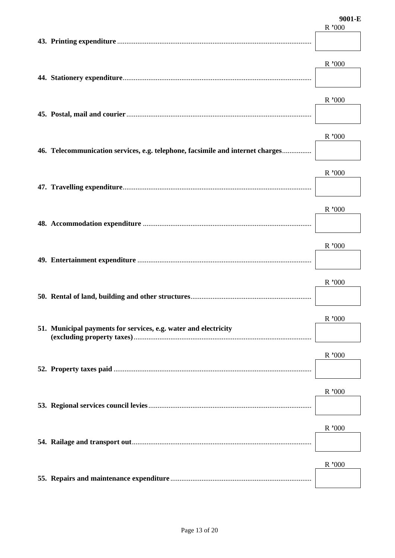|                                                                                | 9001-E<br>R'000 |
|--------------------------------------------------------------------------------|-----------------|
|                                                                                |                 |
|                                                                                | R'000           |
|                                                                                | $R$ ,000        |
| 46. Telecommunication services, e.g. telephone, facsimile and internet charges | R '000          |
|                                                                                | $R$ ,000        |
|                                                                                | R'000           |
|                                                                                | R'000           |
|                                                                                | R'000           |
| 51. Municipal payments for services, e.g. water and electricity                | R '000          |
|                                                                                | R'000           |
|                                                                                | R'000           |
|                                                                                | R'000           |
|                                                                                | R'000           |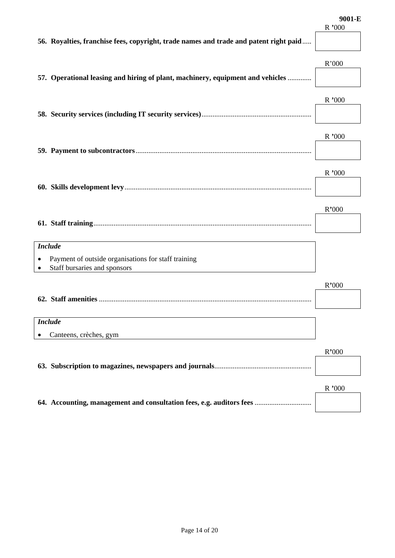|                                                                                       | R'000 |
|---------------------------------------------------------------------------------------|-------|
| 56. Royalties, franchise fees, copyright, trade names and trade and patent right paid |       |
|                                                                                       |       |
|                                                                                       | R'000 |
|                                                                                       |       |
| 57. Operational leasing and hiring of plant, machinery, equipment and vehicles        |       |
|                                                                                       |       |
|                                                                                       | R'000 |
|                                                                                       |       |
|                                                                                       |       |
|                                                                                       | R'000 |
|                                                                                       |       |
|                                                                                       |       |
|                                                                                       | R'000 |
|                                                                                       |       |
|                                                                                       |       |
|                                                                                       | R'000 |
|                                                                                       |       |
|                                                                                       |       |
|                                                                                       |       |
| <b>Include</b>                                                                        |       |
| Payment of outside organisations for staff training                                   |       |
| Staff bursaries and sponsors                                                          |       |
|                                                                                       | R'000 |
|                                                                                       |       |
|                                                                                       |       |
| <b>Include</b>                                                                        |       |
|                                                                                       |       |
| Canteens, crèches, gym                                                                |       |
|                                                                                       | R'000 |
|                                                                                       |       |
|                                                                                       |       |
|                                                                                       | R'000 |
|                                                                                       |       |
| 64. Accounting, management and consultation fees, e.g. auditors fees                  |       |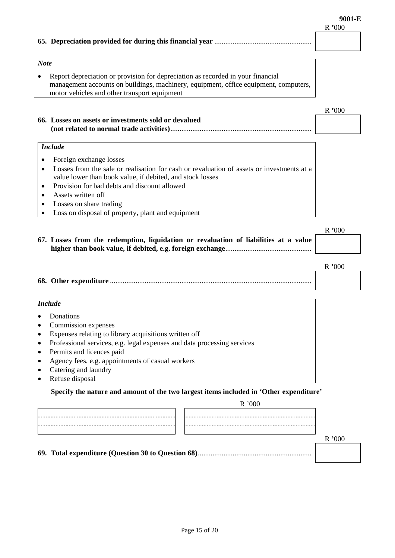**9001-E** 

|                                                                                                                                                                                                                                                                                                                                         | R'000    |
|-----------------------------------------------------------------------------------------------------------------------------------------------------------------------------------------------------------------------------------------------------------------------------------------------------------------------------------------|----------|
|                                                                                                                                                                                                                                                                                                                                         |          |
|                                                                                                                                                                                                                                                                                                                                         |          |
| <b>Note</b>                                                                                                                                                                                                                                                                                                                             |          |
| Report depreciation or provision for depreciation as recorded in your financial<br>management accounts on buildings, machinery, equipment, office equipment, computers,<br>motor vehicles and other transport equipment                                                                                                                 |          |
|                                                                                                                                                                                                                                                                                                                                         | R'000    |
| 66. Losses on assets or investments sold or devalued                                                                                                                                                                                                                                                                                    |          |
| <b>Include</b>                                                                                                                                                                                                                                                                                                                          |          |
| Foreign exchange losses<br>Losses from the sale or realisation for cash or revaluation of assets or investments at a<br>value lower than book value, if debited, and stock losses<br>Provision for bad debts and discount allowed<br>Assets written off<br>Losses on share trading<br>Loss on disposal of property, plant and equipment |          |
|                                                                                                                                                                                                                                                                                                                                         | $R$ ,000 |
| 67. Losses from the redemption, liquidation or revaluation of liabilities at a value                                                                                                                                                                                                                                                    |          |
|                                                                                                                                                                                                                                                                                                                                         | R'000    |
|                                                                                                                                                                                                                                                                                                                                         |          |
| <b>Include</b>                                                                                                                                                                                                                                                                                                                          |          |
| Donations<br>Commission expenses<br>Expenses relating to library acquisitions written off<br>٠<br>Professional services, e.g. legal expenses and data processing services<br>$\bullet$<br>Permits and licences paid<br>$\bullet$<br>Agency fees, e.g. appointments of casual workers                                                    |          |
| Catering and laundry                                                                                                                                                                                                                                                                                                                    |          |

• Refuse disposal

#### **Specify the nature and amount of the two largest items included in 'Other expenditure'**

|  |  | R '000 |  |  |
|--|--|--------|--|--|
|  |  |        |  |  |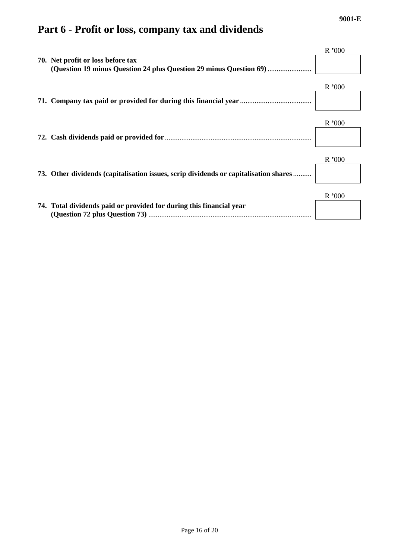# **Part 6 - Profit or loss, company tax and dividends**

| 70. Net profit or loss before tax                                                    | R'000 |
|--------------------------------------------------------------------------------------|-------|
|                                                                                      | R'000 |
|                                                                                      | R'000 |
| 73. Other dividends (capitalisation issues, scrip dividends or capitalisation shares | R'000 |
| 74. Total dividends paid or provided for during this financial year                  | R'000 |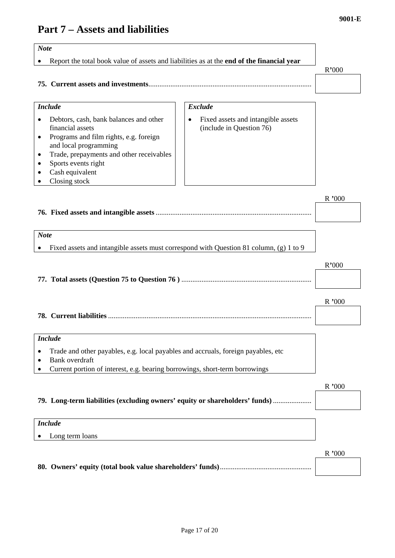# **Part 7 – Assets and liabilities**

| <b>Note</b>                                                                                                                                                                                                                                                                               |        |  |  |  |
|-------------------------------------------------------------------------------------------------------------------------------------------------------------------------------------------------------------------------------------------------------------------------------------------|--------|--|--|--|
| Report the total book value of assets and liabilities as at the end of the financial year                                                                                                                                                                                                 |        |  |  |  |
|                                                                                                                                                                                                                                                                                           | R'000  |  |  |  |
|                                                                                                                                                                                                                                                                                           |        |  |  |  |
|                                                                                                                                                                                                                                                                                           |        |  |  |  |
| <b>Exclude</b><br><b>Include</b>                                                                                                                                                                                                                                                          |        |  |  |  |
| Fixed assets and intangible assets<br>Debtors, cash, bank balances and other<br>(include in Question 76)<br>financial assets<br>Programs and film rights, e.g. foreign<br>$\bullet$<br>and local programming<br>Trade, prepayments and other receivables<br>٠<br>Sports events right<br>٠ |        |  |  |  |
| Cash equivalent                                                                                                                                                                                                                                                                           |        |  |  |  |
| Closing stock                                                                                                                                                                                                                                                                             | R '000 |  |  |  |
| <b>Note</b>                                                                                                                                                                                                                                                                               |        |  |  |  |
| Fixed assets and intangible assets must correspond with Question 81 column, (g) 1 to 9                                                                                                                                                                                                    |        |  |  |  |
|                                                                                                                                                                                                                                                                                           |        |  |  |  |
|                                                                                                                                                                                                                                                                                           | R'000  |  |  |  |
|                                                                                                                                                                                                                                                                                           |        |  |  |  |
|                                                                                                                                                                                                                                                                                           |        |  |  |  |
|                                                                                                                                                                                                                                                                                           | R'000  |  |  |  |
|                                                                                                                                                                                                                                                                                           |        |  |  |  |
|                                                                                                                                                                                                                                                                                           |        |  |  |  |
| <b>Include</b>                                                                                                                                                                                                                                                                            |        |  |  |  |
| Trade and other payables, e.g. local payables and accruals, foreign payables, etc                                                                                                                                                                                                         |        |  |  |  |
| <b>Bank</b> overdraft                                                                                                                                                                                                                                                                     |        |  |  |  |
| Current portion of interest, e.g. bearing borrowings, short-term borrowings                                                                                                                                                                                                               |        |  |  |  |
|                                                                                                                                                                                                                                                                                           | R'000  |  |  |  |
| 79. Long-term liabilities (excluding owners' equity or shareholders' funds)                                                                                                                                                                                                               |        |  |  |  |
|                                                                                                                                                                                                                                                                                           |        |  |  |  |
| <b>Include</b>                                                                                                                                                                                                                                                                            |        |  |  |  |
| Long term loans                                                                                                                                                                                                                                                                           |        |  |  |  |
|                                                                                                                                                                                                                                                                                           |        |  |  |  |
|                                                                                                                                                                                                                                                                                           |        |  |  |  |
|                                                                                                                                                                                                                                                                                           |        |  |  |  |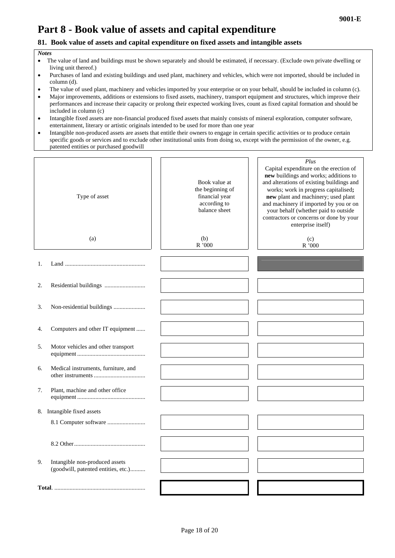# **Part 8 - Book value of assets and capital expenditure**

#### **81. Book value of assets and capital expenditure on fixed assets and intangible assets**

#### *Notes*

- The value of land and buildings must be shown separately and should be estimated, if necessary. (Exclude own private dwelling or living unit thereof.)
- Purchases of land and existing buildings and used plant, machinery and vehicles, which were not imported, should be included in column (d).
- The value of used plant, machinery and vehicles imported by your enterprise or on your behalf, should be included in column (c).
- Major improvements, additions or extensions to fixed assets, machinery, transport equipment and structures, which improve their performances and increase their capacity or prolong their expected working lives, count as fixed capital formation and should be included in column (c)
- Intangible fixed assets are non-financial produced fixed assets that mainly consists of mineral exploration, computer software, entertainment, literary or artistic originals intended to be used for more than one year
- Intangible non-produced assets are assets that entitle their owners to engage in certain specific activities or to produce certain specific goods or services and to exclude other institutional units from doing so, except with the permission of the owner, e.g. patented entities or purchased goodwill

|    | Type of asset                                                         | Book value at<br>the beginning of<br>financial year<br>according to<br>balance sheet | Plus<br>Capital expenditure on the erection of<br>new buildings and works; additions to<br>and alterations of existing buildings and<br>works; work in progress capitalised;<br>new plant and machinery; used plant<br>and machinery if imported by you or on<br>your behalf (whether paid to outside<br>contractors or concerns or done by your<br>enterprise itself) |
|----|-----------------------------------------------------------------------|--------------------------------------------------------------------------------------|------------------------------------------------------------------------------------------------------------------------------------------------------------------------------------------------------------------------------------------------------------------------------------------------------------------------------------------------------------------------|
|    | (a)                                                                   | (b)<br>R'000                                                                         | (c)<br>$\rm R$ '000                                                                                                                                                                                                                                                                                                                                                    |
| 1. |                                                                       |                                                                                      |                                                                                                                                                                                                                                                                                                                                                                        |
| 2. |                                                                       |                                                                                      |                                                                                                                                                                                                                                                                                                                                                                        |
| 3. | Non-residential buildings                                             |                                                                                      |                                                                                                                                                                                                                                                                                                                                                                        |
| 4. | Computers and other IT equipment                                      |                                                                                      |                                                                                                                                                                                                                                                                                                                                                                        |
| 5. | Motor vehicles and other transport                                    |                                                                                      |                                                                                                                                                                                                                                                                                                                                                                        |
| 6. | Medical instruments, furniture, and                                   |                                                                                      |                                                                                                                                                                                                                                                                                                                                                                        |
| 7. | Plant, machine and other office                                       |                                                                                      |                                                                                                                                                                                                                                                                                                                                                                        |
|    | 8. Intangible fixed assets                                            |                                                                                      |                                                                                                                                                                                                                                                                                                                                                                        |
|    |                                                                       |                                                                                      |                                                                                                                                                                                                                                                                                                                                                                        |
|    |                                                                       |                                                                                      |                                                                                                                                                                                                                                                                                                                                                                        |
| 9. | Intangible non-produced assets<br>(goodwill, patented entities, etc.) |                                                                                      |                                                                                                                                                                                                                                                                                                                                                                        |
|    |                                                                       |                                                                                      |                                                                                                                                                                                                                                                                                                                                                                        |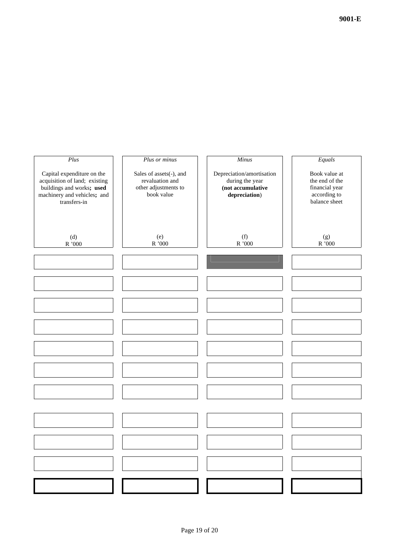